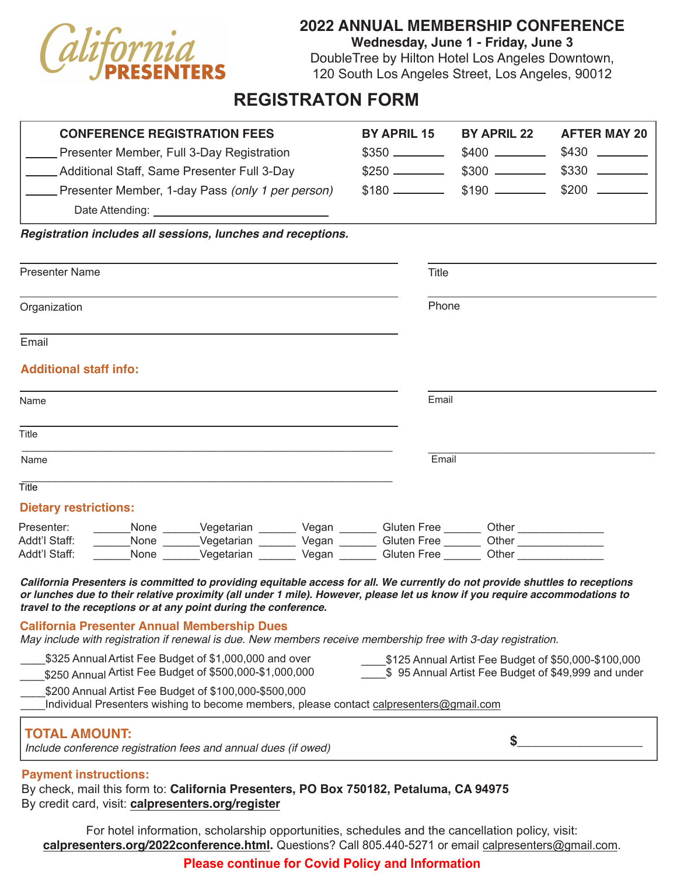

## **2022 ANNUAL MEMBERSHIP CONFERENCE**

**Wednesday, June 1 - Friday, June 3**

DoubleTree by Hilton Hotel Los Angeles Downtown, 120 South Los Angeles Street, Los Angeles, 90012

# **REGISTRATON FORM**

| <b>CONFERENCE REGISTRATION FEES</b><br>Presenter Member, Full 3-Day Registration<br>Additional Staff, Same Presenter Full 3-Day<br>Presenter Member, 1-day Pass (only 1 per person)<br>Date Attending: <b>Example 20</b> and 20 and 20 and 20 and 20 and 20 and 20 and 20 and 20 and 20 and 20 and 20 and 20 and 20 and 20 and 20 and 20 and 20 and 20 and 20 and 20 and 20 and 20 and 20 and 20 and 20 and 20 and 20 and | <b>BY APRIL 15</b> | BY APRIL 22                                                                                                 | <b>AFTER MAY 20</b> |  |
|---------------------------------------------------------------------------------------------------------------------------------------------------------------------------------------------------------------------------------------------------------------------------------------------------------------------------------------------------------------------------------------------------------------------------|--------------------|-------------------------------------------------------------------------------------------------------------|---------------------|--|
| Registration includes all sessions, lunches and receptions.                                                                                                                                                                                                                                                                                                                                                               |                    |                                                                                                             |                     |  |
| <b>Presenter Name</b>                                                                                                                                                                                                                                                                                                                                                                                                     |                    | Title                                                                                                       |                     |  |
| Organization                                                                                                                                                                                                                                                                                                                                                                                                              |                    | Phone                                                                                                       |                     |  |
| Email                                                                                                                                                                                                                                                                                                                                                                                                                     |                    |                                                                                                             |                     |  |
| <b>Additional staff info:</b>                                                                                                                                                                                                                                                                                                                                                                                             |                    |                                                                                                             |                     |  |
| Name                                                                                                                                                                                                                                                                                                                                                                                                                      | Email              |                                                                                                             |                     |  |
| Title                                                                                                                                                                                                                                                                                                                                                                                                                     |                    |                                                                                                             |                     |  |
| Name                                                                                                                                                                                                                                                                                                                                                                                                                      |                    | Email                                                                                                       |                     |  |
| Title                                                                                                                                                                                                                                                                                                                                                                                                                     |                    |                                                                                                             |                     |  |
| <b>Dietary restrictions:</b><br>_None _______Vegetarian ________ Vegan ________ Gluten Free _______ Other _____________<br>Presenter:<br>___None ______Vegetarian _______ Vegan ______ Gluten Free ______ Other __________<br>Addt'l Staff:<br>None Vegetarian Vegan Gluten Free Other<br>Addt'l Staff:                                                                                                                   |                    |                                                                                                             |                     |  |
| California Presenters is committed to providing equitable access for all. We currently do not provide shuttles to receptions<br>or lunches due to their relative proximity (all under 1 mile). However, please let us know if you require accommodations to<br>travel to the receptions or at any point during the conference.                                                                                            |                    |                                                                                                             |                     |  |
| <b>California Presenter Annual Membership Dues</b><br>May include with registration if renewal is due. New members receive membership free with 3-day registration.                                                                                                                                                                                                                                                       |                    |                                                                                                             |                     |  |
| \$325 Annual Artist Fee Budget of \$1,000,000 and over<br>\$250 Annual Artist Fee Budget of \$500,000-\$1,000,000<br>\$200 Annual Artist Fee Budget of \$100,000-\$500,000<br>Individual Presenters wishing to become members, please contact calpresenters@gmail.com                                                                                                                                                     |                    | \$125 Annual Artist Fee Budget of \$50,000-\$100,000<br>\$95 Annual Artist Fee Budget of \$49,999 and under |                     |  |
| <b>TOTAL AMOUNT:</b><br>Include conference registration fees and annual dues (if owed)                                                                                                                                                                                                                                                                                                                                    |                    | \$                                                                                                          |                     |  |

#### **Payment instructions:**

By check, mail this form to: **California Presenters, PO Box 750182, Petaluma, CA 94975** By credit card, visit: **[calpresenters.org/register](http://www.calpresenters.org/register.html)**

For hotel information, scholarship opportunities, schedules and the cancellation policy, visit: **[calpresenters.org/202](https://www.calpresenters.org/2020conference.html)2conference.html.** Questions? Call 805.440-5271 or email [calpresenters@gmail.com.](mailto:calpresenters%40gmail.com?subject=)

## **Please continue for Covid Policy and Information**